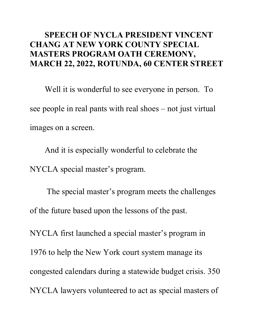## **SPEECH OF NYCLA PRESIDENT VINCENT CHANG AT NEW YORK COUNTY SPECIAL MASTERS PROGRAM OATH CEREMONY, MARCH 22, 2022, ROTUNDA, 60 CENTER STREET**

Well it is wonderful to see everyone in person. To see people in real pants with real shoes – not just virtual images on a screen.

And it is especially wonderful to celebrate the NYCLA special master's program.

The special master's program meets the challenges of the future based upon the lessons of the past.

NYCLA first launched a special master's program in 1976 to help the New York court system manage its congested calendars during a statewide budget crisis. 350 NYCLA lawyers volunteered to act as special masters of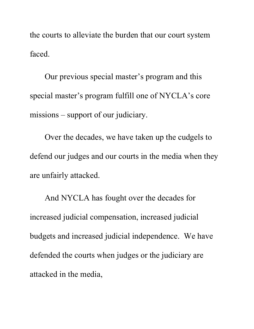the courts to alleviate the burden that our court system faced.

Our previous special master's program and this special master's program fulfill one of NYCLA's core missions – support of our judiciary.

Over the decades, we have taken up the cudgels to defend our judges and our courts in the media when they are unfairly attacked.

And NYCLA has fought over the decades for increased judicial compensation, increased judicial budgets and increased judicial independence. We have defended the courts when judges or the judiciary are attacked in the media,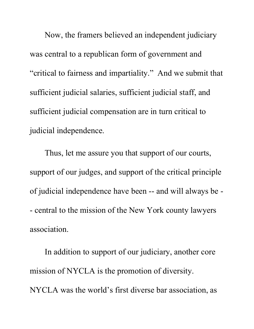Now, the framers believed an independent judiciary was central to a republican form of government and "critical to fairness and impartiality." And we submit that sufficient judicial salaries, sufficient judicial staff, and sufficient judicial compensation are in turn critical to judicial independence.

Thus, let me assure you that support of our courts, support of our judges, and support of the critical principle of judicial independence have been -- and will always be - - central to the mission of the New York county lawyers association.

In addition to support of our judiciary, another core mission of NYCLA is the promotion of diversity. NYCLA was the world's first diverse bar association, as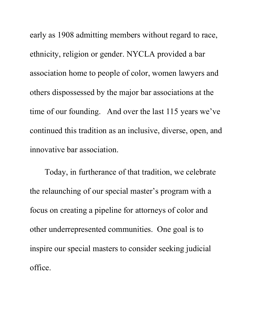early as 1908 admitting members without regard to race, ethnicity, religion or gender. NYCLA provided a bar association home to people of color, women lawyers and others dispossessed by the major bar associations at the time of our founding. And over the last 115 years we've continued this tradition as an inclusive, diverse, open, and innovative bar association.

Today, in furtherance of that tradition, we celebrate the relaunching of our special master's program with a focus on creating a pipeline for attorneys of color and other underrepresented communities. One goal is to inspire our special masters to consider seeking judicial office.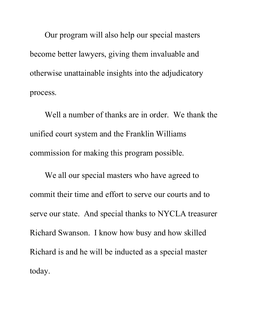Our program will also help our special masters become better lawyers, giving them invaluable and otherwise unattainable insights into the adjudicatory process.

Well a number of thanks are in order. We thank the unified court system and the Franklin Williams commission for making this program possible.

We all our special masters who have agreed to commit their time and effort to serve our courts and to serve our state. And special thanks to NYCLA treasurer Richard Swanson. I know how busy and how skilled Richard is and he will be inducted as a special master today.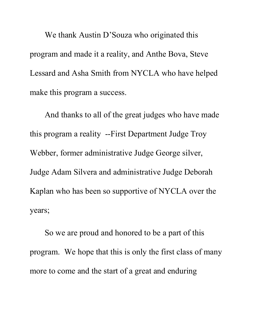We thank Austin D'Souza who originated this program and made it a reality, and Anthe Bova, Steve Lessard and Asha Smith from NYCLA who have helped make this program a success.

And thanks to all of the great judges who have made this program a reality --First Department Judge Troy Webber, former administrative Judge George silver, Judge Adam Silvera and administrative Judge Deborah Kaplan who has been so supportive of NYCLA over the years;

So we are proud and honored to be a part of this program. We hope that this is only the first class of many more to come and the start of a great and enduring